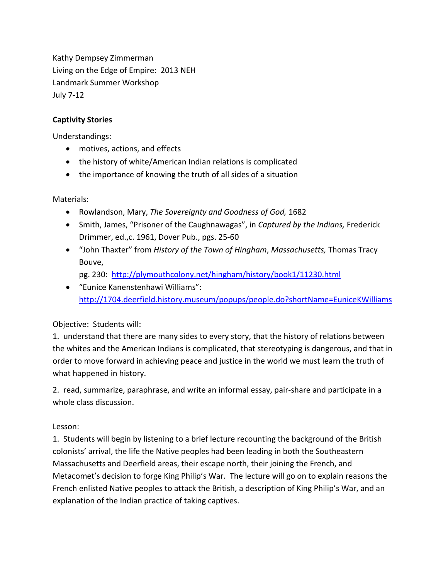Kathy Dempsey Zimmerman Living on the Edge of Empire: 2013 NEH Landmark Summer Workshop July 7-12

## **Captivity Stories**

Understandings:

- motives, actions, and effects
- the history of white/American Indian relations is complicated
- the importance of knowing the truth of all sides of a situation

Materials:

- Rowlandson, Mary, *The Sovereignty and Goodness of God,* 1682
- Smith, James, "Prisoner of the Caughnawagas", in *Captured by the Indians,* Frederick Drimmer, ed.,c. 1961, Dover Pub., pgs. 25-60
- "John Thaxter" from *History of the Town of Hingham*, *Massachusetts,* Thomas Tracy Bouve,
	- pg. 230: <http://plymouthcolony.net/hingham/history/book1/11230.html>
- "Eunice Kanenstenhawi Williams": <http://1704.deerfield.history.museum/popups/people.do?shortName=EuniceKWilliams>

## Objective: Students will:

1. understand that there are many sides to every story, that the history of relations between the whites and the American Indians is complicated, that stereotyping is dangerous, and that in order to move forward in achieving peace and justice in the world we must learn the truth of what happened in history.

2. read, summarize, paraphrase, and write an informal essay, pair-share and participate in a whole class discussion.

## Lesson:

1. Students will begin by listening to a brief lecture recounting the background of the British colonists' arrival, the life the Native peoples had been leading in both the Southeastern Massachusetts and Deerfield areas, their escape north, their joining the French, and Metacomet's decision to forge King Philip's War. The lecture will go on to explain reasons the French enlisted Native peoples to attack the British, a description of King Philip's War, and an explanation of the Indian practice of taking captives.